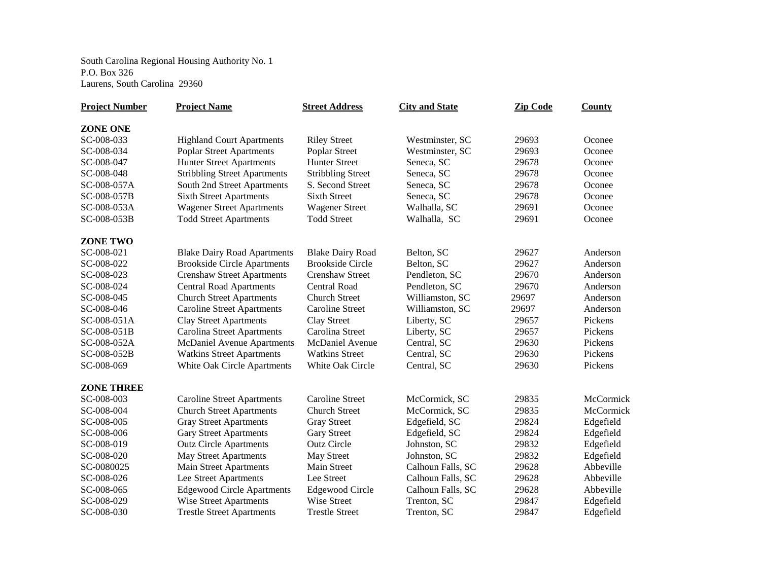South Carolina Regional Housing Authority No. 1 P.O. Box 326 Laurens, South Carolina 29360

| <b>Project Number</b> | <b>Project Name</b>                 | <b>Street Address</b>    | <b>City and State</b> | <b>Zip Code</b> | County    |
|-----------------------|-------------------------------------|--------------------------|-----------------------|-----------------|-----------|
| <b>ZONE ONE</b>       |                                     |                          |                       |                 |           |
| SC-008-033            | <b>Highland Court Apartments</b>    | <b>Riley Street</b>      | Westminster, SC       | 29693           | Oconee    |
| SC-008-034            | <b>Poplar Street Apartments</b>     | Poplar Street            | Westminster, SC       | 29693           | Oconee    |
| SC-008-047            | <b>Hunter Street Apartments</b>     | <b>Hunter Street</b>     | Seneca, SC            | 29678           | Oconee    |
| SC-008-048            | <b>Stribbling Street Apartments</b> | <b>Stribbling Street</b> | Seneca, SC            | 29678           | Oconee    |
| SC-008-057A           | South 2nd Street Apartments         | S. Second Street         | Seneca, SC            | 29678           | Oconee    |
| SC-008-057B           | <b>Sixth Street Apartments</b>      | <b>Sixth Street</b>      | Seneca, SC            | 29678           | Oconee    |
| SC-008-053A           | <b>Wagener Street Apartments</b>    | <b>Wagener Street</b>    | Walhalla, SC          | 29691           | Oconee    |
| SC-008-053B           | <b>Todd Street Apartments</b>       | <b>Todd Street</b>       | Walhalla, SC          | 29691           | Oconee    |
| ZONE TWO              |                                     |                          |                       |                 |           |
| SC-008-021            | <b>Blake Dairy Road Apartments</b>  | <b>Blake Dairy Road</b>  | Belton, SC            | 29627           | Anderson  |
| SC-008-022            | <b>Brookside Circle Apartments</b>  | <b>Brookside Circle</b>  | Belton, SC            | 29627           | Anderson  |
| SC-008-023            | <b>Crenshaw Street Apartments</b>   | <b>Crenshaw Street</b>   | Pendleton, SC         | 29670           | Anderson  |
| SC-008-024            | <b>Central Road Apartments</b>      | <b>Central Road</b>      | Pendleton, SC         | 29670           | Anderson  |
| SC-008-045            | <b>Church Street Apartments</b>     | <b>Church Street</b>     | Williamston, SC       | 29697           | Anderson  |
| SC-008-046            | <b>Caroline Street Apartments</b>   | Caroline Street          | Williamston, SC       | 29697           | Anderson  |
| SC-008-051A           | <b>Clay Street Apartments</b>       | <b>Clay Street</b>       | Liberty, SC           | 29657           | Pickens   |
| SC-008-051B           | <b>Carolina Street Apartments</b>   | Carolina Street          | Liberty, SC           | 29657           | Pickens   |
| SC-008-052A           | McDaniel Avenue Apartments          | <b>McDaniel Avenue</b>   | Central, SC           | 29630           | Pickens   |
| SC-008-052B           | <b>Watkins Street Apartments</b>    | <b>Watkins Street</b>    | Central, SC           | 29630           | Pickens   |
| SC-008-069            | White Oak Circle Apartments         | White Oak Circle         | Central, SC           | 29630           | Pickens   |
| <b>ZONE THREE</b>     |                                     |                          |                       |                 |           |
| SC-008-003            | <b>Caroline Street Apartments</b>   | <b>Caroline Street</b>   | McCormick, SC         | 29835           | McCormick |
| SC-008-004            | <b>Church Street Apartments</b>     | <b>Church Street</b>     | McCormick, SC         | 29835           | McCormick |
| SC-008-005            | <b>Gray Street Apartments</b>       | <b>Gray Street</b>       | Edgefield, SC         | 29824           | Edgefield |
| SC-008-006            | <b>Gary Street Apartments</b>       | <b>Gary Street</b>       | Edgefield, SC         | 29824           | Edgefield |
| SC-008-019            | <b>Outz Circle Apartments</b>       | <b>Outz Circle</b>       | Johnston, SC          | 29832           | Edgefield |
| SC-008-020            | <b>May Street Apartments</b>        | May Street               | Johnston, SC          | 29832           | Edgefield |
| SC-0080025            | <b>Main Street Apartments</b>       | <b>Main Street</b>       | Calhoun Falls, SC     | 29628           | Abbeville |
| SC-008-026            | Lee Street Apartments               | Lee Street               | Calhoun Falls, SC     | 29628           | Abbeville |
| SC-008-065            | <b>Edgewood Circle Apartments</b>   | <b>Edgewood Circle</b>   | Calhoun Falls, SC     | 29628           | Abbeville |
| SC-008-029            | <b>Wise Street Apartments</b>       | Wise Street              | Trenton, SC           | 29847           | Edgefield |
| SC-008-030            | <b>Trestle Street Apartments</b>    | <b>Trestle Street</b>    | Trenton, SC           | 29847           | Edgefield |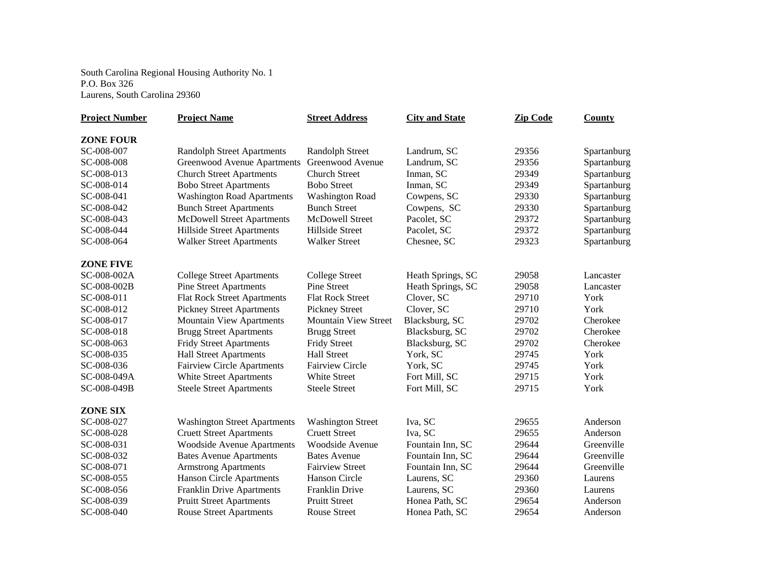South Carolina Regional Housing Authority No. 1 P.O. Box 326 Laurens, South Carolina 29360

| <b>Project Number</b> | <b>Project Name</b>                 | <b>Street Address</b>       | <b>City and State</b> | <b>Zip Code</b> | County      |
|-----------------------|-------------------------------------|-----------------------------|-----------------------|-----------------|-------------|
| <b>ZONE FOUR</b>      |                                     |                             |                       |                 |             |
| SC-008-007            | <b>Randolph Street Apartments</b>   | <b>Randolph Street</b>      | Landrum, SC           | 29356           | Spartanburg |
| SC-008-008            | <b>Greenwood Avenue Apartments</b>  | Greenwood Avenue            | Landrum, SC           | 29356           | Spartanburg |
| SC-008-013            | <b>Church Street Apartments</b>     | <b>Church Street</b>        | Inman, SC             | 29349           | Spartanburg |
| SC-008-014            | <b>Bobo Street Apartments</b>       | <b>Bobo Street</b>          | Inman, SC             | 29349           | Spartanburg |
| SC-008-041            | <b>Washington Road Apartments</b>   | <b>Washington Road</b>      | Cowpens, SC           | 29330           | Spartanburg |
| SC-008-042            | <b>Bunch Street Apartments</b>      | <b>Bunch Street</b>         | Cowpens, SC           | 29330           | Spartanburg |
| SC-008-043            | <b>McDowell Street Apartments</b>   | McDowell Street             | Pacolet, SC           | 29372           | Spartanburg |
| SC-008-044            | Hillside Street Apartments          | Hillside Street             | Pacolet, SC           | 29372           | Spartanburg |
| SC-008-064            | <b>Walker Street Apartments</b>     | <b>Walker Street</b>        | Chesnee, SC           | 29323           | Spartanburg |
| <b>ZONE FIVE</b>      |                                     |                             |                       |                 |             |
| SC-008-002A           | <b>College Street Apartments</b>    | <b>College Street</b>       | Heath Springs, SC     | 29058           | Lancaster   |
| SC-008-002B           | <b>Pine Street Apartments</b>       | <b>Pine Street</b>          | Heath Springs, SC     | 29058           | Lancaster   |
| SC-008-011            | <b>Flat Rock Street Apartments</b>  | <b>Flat Rock Street</b>     | Clover, SC            | 29710           | York        |
| SC-008-012            | <b>Pickney Street Apartments</b>    | <b>Pickney Street</b>       | Clover, SC            | 29710           | York        |
| SC-008-017            | <b>Mountain View Apartments</b>     | <b>Mountain View Street</b> | Blacksburg, SC        | 29702           | Cherokee    |
| SC-008-018            | <b>Brugg Street Apartments</b>      | <b>Brugg Street</b>         | Blacksburg, SC        | 29702           | Cherokee    |
| SC-008-063            | <b>Fridy Street Apartments</b>      | <b>Fridy Street</b>         | Blacksburg, SC        | 29702           | Cherokee    |
| SC-008-035            | <b>Hall Street Apartments</b>       | <b>Hall Street</b>          | York, SC              | 29745           | York        |
| SC-008-036            | <b>Fairview Circle Apartments</b>   | <b>Fairview Circle</b>      | York, SC              | 29745           | York        |
| SC-008-049A           | White Street Apartments             | White Street                | Fort Mill, SC         | 29715           | York        |
| SC-008-049B           | <b>Steele Street Apartments</b>     | <b>Steele Street</b>        | Fort Mill, SC         | 29715           | York        |
| <b>ZONE SIX</b>       |                                     |                             |                       |                 |             |
| SC-008-027            | <b>Washington Street Apartments</b> | <b>Washington Street</b>    | Iva, SC               | 29655           | Anderson    |
| SC-008-028            | <b>Cruett Street Apartments</b>     | <b>Cruett Street</b>        | Iva, SC               | 29655           | Anderson    |
| SC-008-031            | <b>Woodside Avenue Apartments</b>   | Woodside Avenue             | Fountain Inn, SC      | 29644           | Greenville  |
| SC-008-032            | <b>Bates Avenue Apartments</b>      | <b>Bates Avenue</b>         | Fountain Inn, SC      | 29644           | Greenville  |
| SC-008-071            | <b>Armstrong Apartments</b>         | <b>Fairview Street</b>      | Fountain Inn, SC      | 29644           | Greenville  |
| SC-008-055            | <b>Hanson Circle Apartments</b>     | Hanson Circle               | Laurens, SC           | 29360           | Laurens     |
| SC-008-056            | <b>Franklin Drive Apartments</b>    | Franklin Drive              | Laurens, SC           | 29360           | Laurens     |
| SC-008-039            | <b>Pruitt Street Apartments</b>     | <b>Pruitt Street</b>        | Honea Path, SC        | 29654           | Anderson    |
| SC-008-040            | <b>Rouse Street Apartments</b>      | <b>Rouse Street</b>         | Honea Path, SC        | 29654           | Anderson    |